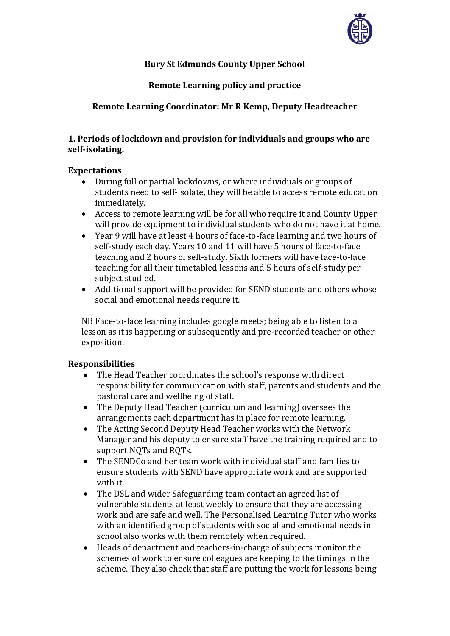

# **Bury St Edmunds County Upper School**

# **Remote Learning policy and practice**

## **Remote Learning Coordinator: Mr R Kemp, Deputy Headteacher**

## **1. Periods of lockdown and provision for individuals and groups who are self‐isolating.**

### **Expectations**

- During full or partial lockdowns, or where individuals or groups of students need to self-isolate, they will be able to access remote education immediately.
- Access to remote learning will be for all who require it and County Upper will provide equipment to individual students who do not have it at home.
- Year 9 will have at least 4 hours of face-to-face learning and two hours of self-study each day. Years 10 and 11 will have 5 hours of face-to-face teaching and 2 hours of self-study. Sixth formers will have face-to-face teaching for all their timetabled lessons and 5 hours of self-study per subject studied.
- Additional support will be provided for SEND students and others whose social and emotional needs require it.

NB Face-to-face learning includes google meets; being able to listen to a lesson as it is happening or subsequently and pre-recorded teacher or other exposition.

#### **Responsibilities**

- The Head Teacher coordinates the school's response with direct responsibility for communication with staff, parents and students and the pastoral care and wellbeing of staff.
- The Deputy Head Teacher (curriculum and learning) oversees the arrangements each department has in place for remote learning.
- The Acting Second Deputy Head Teacher works with the Network Manager and his deputy to ensure staff have the training required and to support NQTs and RQTs.
- The SENDCo and her team work with individual staff and families to ensure students with SEND have appropriate work and are supported with it.
- The DSL and wider Safeguarding team contact an agreed list of vulnerable students at least weekly to ensure that they are accessing work and are safe and well. The Personalised Learning Tutor who works with an identified group of students with social and emotional needs in school also works with them remotely when required.
- Heads of department and teachers-in-charge of subjects monitor the schemes of work to ensure colleagues are keeping to the timings in the scheme. They also check that staff are putting the work for lessons being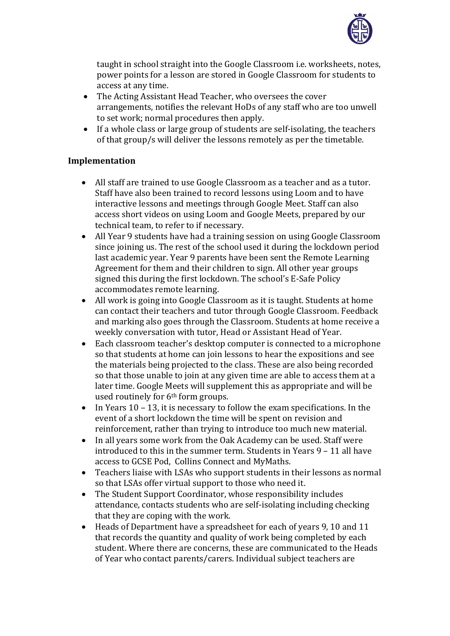

taught in school straight into the Google Classroom i.e. worksheets, notes, power points for a lesson are stored in Google Classroom for students to access at any time.

- The Acting Assistant Head Teacher, who oversees the cover arrangements, notifies the relevant HoDs of any staff who are too unwell to set work; normal procedures then apply.
- If a whole class or large group of students are self-isolating, the teachers of that group/s will deliver the lessons remotely as per the timetable.

## **Implementation**

- All staff are trained to use Google Classroom as a teacher and as a tutor. Staff have also been trained to record lessons using Loom and to have interactive lessons and meetings through Google Meet. Staff can also access short videos on using Loom and Google Meets, prepared by our technical team, to refer to if necessary.
- All Year 9 students have had a training session on using Google Classroom since joining us. The rest of the school used it during the lockdown period last academic year. Year 9 parents have been sent the Remote Learning Agreement for them and their children to sign. All other year groups signed this during the first lockdown. The school's E-Safe Policy accommodates remote learning.
- All work is going into Google Classroom as it is taught. Students at home can contact their teachers and tutor through Google Classroom. Feedback and marking also goes through the Classroom. Students at home receive a weekly conversation with tutor, Head or Assistant Head of Year.
- Each classroom teacher's desktop computer is connected to a microphone so that students at home can join lessons to hear the expositions and see the materials being projected to the class. These are also being recorded so that those unable to join at any given time are able to access them at a later time. Google Meets will supplement this as appropriate and will be used routinely for 6<sup>th</sup> form groups.
- In Years  $10 13$ , it is necessary to follow the exam specifications. In the event of a short lockdown the time will be spent on revision and reinforcement, rather than trying to introduce too much new material.
- In all years some work from the Oak Academy can be used. Staff were introduced to this in the summer term. Students in Years 9 – 11 all have access to GCSE Pod, Collins Connect and MyMaths.
- Teachers liaise with LSAs who support students in their lessons as normal so that LSAs offer virtual support to those who need it.
- The Student Support Coordinator, whose responsibility includes attendance, contacts students who are self-isolating including checking that they are coping with the work.
- Heads of Department have a spreadsheet for each of years 9, 10 and 11 that records the quantity and quality of work being completed by each student. Where there are concerns, these are communicated to the Heads of Year who contact parents/carers. Individual subject teachers are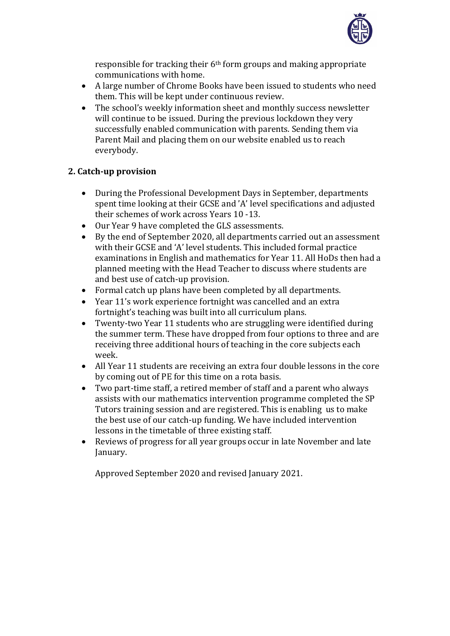

responsible for tracking their 6th form groups and making appropriate communications with home.

- A large number of Chrome Books have been issued to students who need them. This will be kept under continuous review.
- The school's weekly information sheet and monthly success newsletter will continue to be issued. During the previous lockdown they very successfully enabled communication with parents. Sending them via Parent Mail and placing them on our website enabled us to reach everybody.

## **2. Catch‐up provision**

- During the Professional Development Days in September, departments spent time looking at their GCSE and 'A' level specifications and adjusted their schemes of work across Years 10 -13.
- Our Year 9 have completed the GLS assessments.
- By the end of September 2020, all departments carried out an assessment with their GCSE and 'A' level students. This included formal practice examinations in English and mathematics for Year 11. All HoDs then had a planned meeting with the Head Teacher to discuss where students are and best use of catch-up provision.
- Formal catch up plans have been completed by all departments.
- Year 11's work experience fortnight was cancelled and an extra fortnight's teaching was built into all curriculum plans.
- Twenty-two Year 11 students who are struggling were identified during the summer term. These have dropped from four options to three and are receiving three additional hours of teaching in the core subjects each week.
- All Year 11 students are receiving an extra four double lessons in the core by coming out of PE for this time on a rota basis.
- Two part-time staff, a retired member of staff and a parent who always assists with our mathematics intervention programme completed the SP Tutors training session and are registered. This is enabling us to make the best use of our catch-up funding. We have included intervention lessons in the timetable of three existing staff.
- Reviews of progress for all year groups occur in late November and late January.

Approved September 2020 and revised January 2021.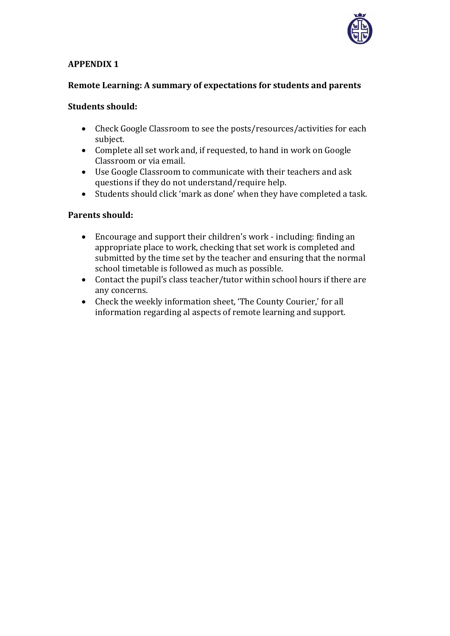

## **APPENDIX 1**

## **Remote Learning: A summary of expectations for students and parents**

#### **Students should:**

- Check Google Classroom to see the posts/resources/activities for each subject.
- Complete all set work and, if requested, to hand in work on Google Classroom or via email.
- Use Google Classroom to communicate with their teachers and ask questions if they do not understand/require help.
- Students should click 'mark as done' when they have completed a task.

#### **Parents should:**

- Encourage and support their children's work including: finding an appropriate place to work, checking that set work is completed and submitted by the time set by the teacher and ensuring that the normal school timetable is followed as much as possible.
- Contact the pupil's class teacher/tutor within school hours if there are any concerns.
- Check the weekly information sheet, 'The County Courier,' for all information regarding al aspects of remote learning and support.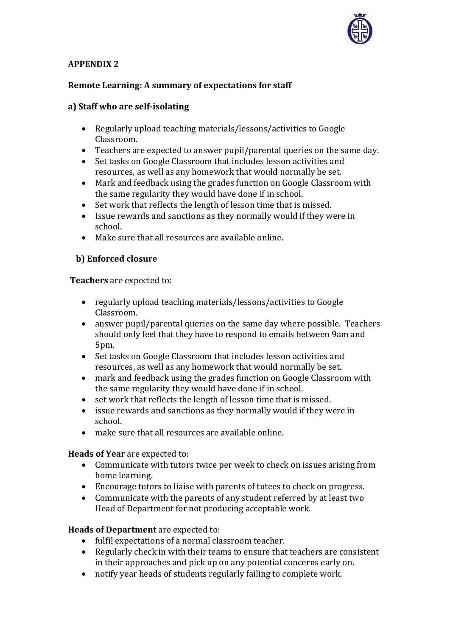

## **APPENDIX 2**

# **Remote Learning: A summary of expectations for staff**

## **a) Staff who are self‐isolating**

- Regularly upload teaching materials/lessons/activities to Google Classroom.
- Teachers are expected to answer pupil/parental queries on the same day.
- Set tasks on Google Classroom that includes lesson activities and resources, as well as any homework that would normally be set.
- Mark and feedback using the grades function on Google Classroom with the same regularity they would have done if in school.
- Set work that reflects the length of lesson time that is missed.
- Issue rewards and sanctions as they normally would if they were in school.
- Make sure that all resources are available online.

### **b) Enforced closure**

**Teachers** are expected to:

- regularly upload teaching materials/lessons/activities to Google Classroom.
- answer pupil/parental queries on the same day where possible. Teachers should only feel that they have to respond to emails between 9am and 5pm.
- Set tasks on Google Classroom that includes lesson activities and resources, as well as any homework that would normally be set.
- mark and feedback using the grades function on Google Classroom with the same regularity they would have done if in school.
- set work that reflects the length of lesson time that is missed.
- issue rewards and sanctions as they normally would if they were in school.
- make sure that all resources are available online.

#### **Heads of Year** are expected to:

- Communicate with tutors twice per week to check on issues arising from home learning.
- Encourage tutors to liaise with parents of tutees to check on progress.
- Communicate with the parents of any student referred by at least two Head of Department for not producing acceptable work.

#### **Heads of Department** are expected to:

- fulfil expectations of a normal classroom teacher.
- Regularly check in with their teams to ensure that teachers are consistent in their approaches and pick up on any potential concerns early on.
- notify year heads of students regularly failing to complete work.